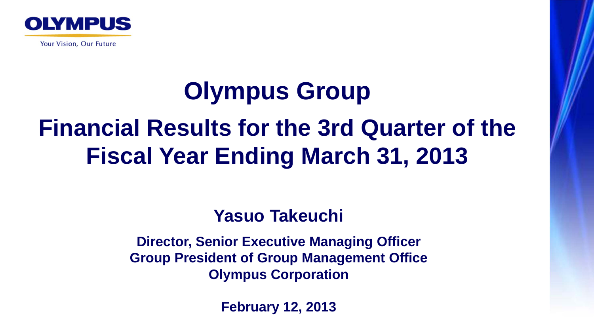

Your Vision, Our Future

# **Olympus Group Financial Results for the 3rd Quarter of the Fiscal Year Ending March 31, 2013**

#### **Yasuo Takeuchi**

**Director, Senior Executive Managing Officer Group President of Group Management Office Olympus Corporation**

**February 12, 2013**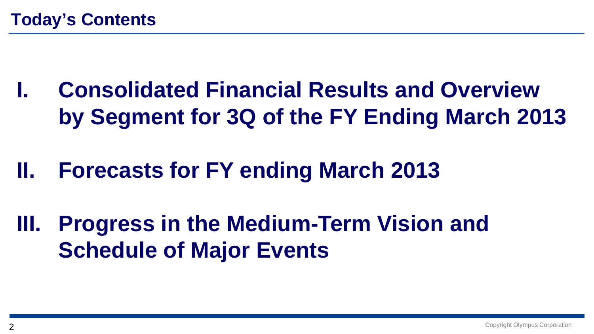- **I. Consolidated Financial Results and Overview by Segment for 3Q of the FY Ending March 2013**
- **II. Forecasts for FY ending March 2013**
- **III. Progress in the Medium-Term Vision and Schedule of Major Events**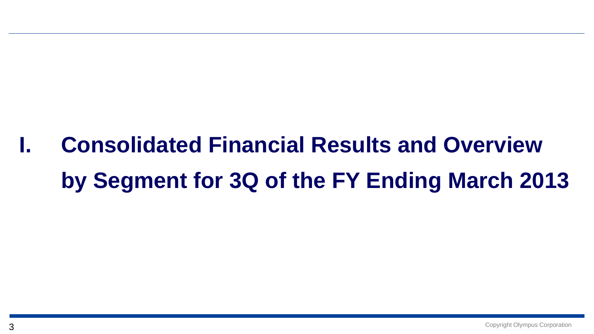# **I. Consolidated Financial Results and Overviewby Segment for 3Q of the FY Ending March 2013**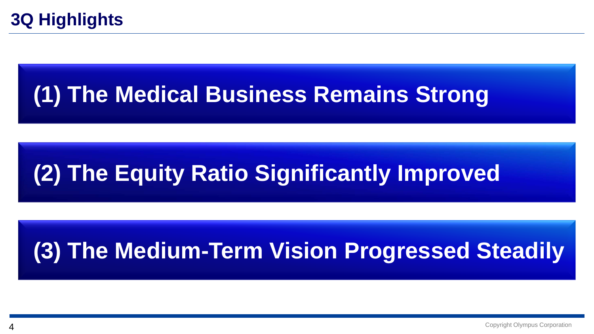### **(1) The Medical Business Remains Strong**

### **(2) The Equity Ratio Significantly Improved**

### **(3) The Medium-Term Vision Progressed Steadily**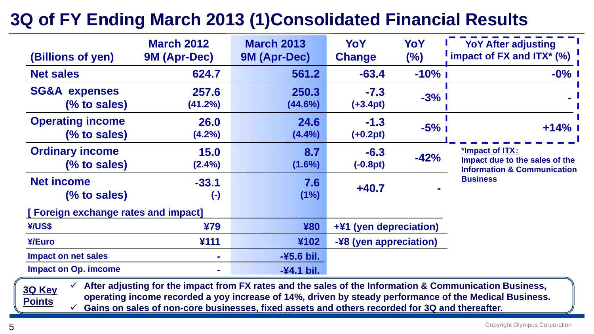#### **3Q of FY Ending March 2013 (1)Consolidated Financial Results**

| (Billions of yen)                        | <b>March 2012</b><br><b>9M (Apr-Dec)</b> | <b>March 2013</b><br>9M (Apr-Dec) | YoY<br><b>Change</b>   | YoY<br>$(\%)$ | <b>YoY After adjusting</b><br>impact of FX and $ITX^*$ (%)                                  |
|------------------------------------------|------------------------------------------|-----------------------------------|------------------------|---------------|---------------------------------------------------------------------------------------------|
| <b>Net sales</b>                         | 624.7                                    | 561.2                             | $-63.4$                | $-10\%$ 1     | $-0\%$                                                                                      |
| <b>SG&amp;A expenses</b><br>(% to sales) | 257.6<br>(41.2%)                         | 250.3<br>$(44.6\%)$               | $-7.3$<br>$(+3.4pt)$   | $-3%1$        |                                                                                             |
| <b>Operating income</b><br>(% to sales)  | 26.0<br>$(4.2\%)$                        | 24.6<br>(4.4%)                    | $-1.3$<br>$(+0.2pt)$   | $-5\%$        | $+14%$                                                                                      |
| <b>Ordinary income</b><br>(% to sales)   | 15.0<br>$(2.4\%)$                        | 8.7<br>$(1.6\%)$                  | $-6.3$<br>$(-0.8pt)$   | $-42%$        | *Impact of ITX:<br>Impact due to the sales of the<br><b>Information &amp; Communication</b> |
| <b>Net income</b><br>(% to sales)        | $-33.1$<br>$(\textnormal{-})$            | 7.6<br>(1%)                       | $+40.7$                |               | <b>Business</b>                                                                             |
| [Foreign exchange rates and impact]      |                                          |                                   |                        |               |                                                                                             |
| ¥/US\$                                   | ¥79                                      | ¥80                               | +¥1 (yen depreciation) |               |                                                                                             |
| ¥/Euro                                   | ¥111                                     | ¥102                              | -¥8 (yen appreciation) |               |                                                                                             |
| <b>Impact on net sales</b>               | $\mathbf{r}$                             | -¥5.6 bil.                        |                        |               |                                                                                             |
| <b>Impact on Op. imcome</b>              | $\mathbf{r}$                             | $-44.1$ bil.                      |                        |               |                                                                                             |

 **After adjusting for the impact from FX rates and the sales of the Information & Communication Business, operating income recorded a yoy increase of 14%, driven by steady performance of the Medical Business.**

 $\checkmark$ **Gains on sales of non-core businesses, fixed assets and others recorded for 3Q and thereafter.**

Copyright Olympus Corporation

**3Q Key** 

**Points**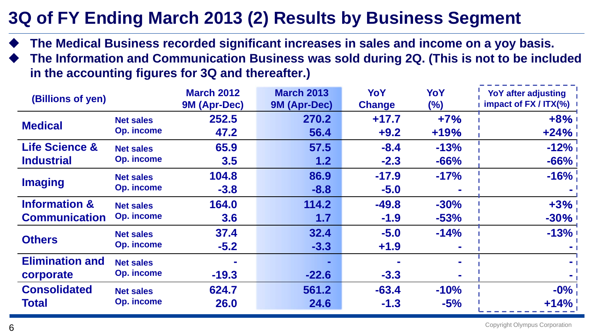#### **3Q of FY Ending March 2013 (2) Results by Business Segment**

- ♦ **The Medical Business recorded significant increases in sales and income on a yoy basis.**
- ♦ **The Information and Communication Business was sold during 2Q. (This is not to be included in the accounting figures for 3Q and thereafter.)**

| (Billions of yen)         |                   | <b>March 2012</b> | <b>March 2013</b> | YoY           | YoY    | <b>YoY after adjusting</b> |
|---------------------------|-------------------|-------------------|-------------------|---------------|--------|----------------------------|
|                           |                   | 9M (Apr-Dec)      | 9M (Apr-Dec)      | <b>Change</b> | $(\%)$ | impact of $FX / ITX$ $\%$  |
|                           | <b>Net sales</b>  | 252.5             | 270.2             | $+17.7$       | $+7%$  | $+8%$                      |
| <b>Medical</b>            | <b>Op. income</b> | 47.2              | 56.4              | $+9.2$        | $+19%$ | $+24%$                     |
| <b>Life Science &amp;</b> | <b>Net sales</b>  | 65.9              | 57.5              | $-8.4$        | $-13%$ | $-12\%$                    |
| <b>Industrial</b>         | <b>Op. income</b> | 3.5               | 1.2               | $-2.3$        | $-66%$ | $-66%$                     |
| <b>Imaging</b>            | <b>Net sales</b>  | 104.8             | 86.9              | $-17.9$       | $-17%$ | $-16\%$                    |
|                           | <b>Op. income</b> | $-3.8$            | $-8.8$            | $-5.0$        |        |                            |
| <b>Information &amp;</b>  | <b>Net sales</b>  | 164.0             | 114.2             | $-49.8$       | $-30%$ | $+3\%$                     |
| <b>Communication</b>      | <b>Op. income</b> | 3.6               | 1.7               | $-1.9$        | $-53%$ | $-30%$                     |
| <b>Others</b>             | <b>Net sales</b>  | 37.4              | 32.4              | $-5.0$        | $-14%$ | $-13%$                     |
|                           | <b>Op. income</b> | $-5.2$            | $-3.3$            | $+1.9$        |        |                            |
| <b>Elimination and</b>    | <b>Net sales</b>  |                   |                   |               |        |                            |
| corporate                 | <b>Op. income</b> | $-19.3$           | $-22.6$           | $-3.3$        |        |                            |
| <b>Consolidated</b>       | <b>Net sales</b>  | 624.7             | 561.2             | $-63.4$       | $-10%$ | $-0\%$                     |
| <b>Total</b>              | <b>Op. income</b> | <b>26.0</b>       | 24.6              | $-1.3$        | $-5%$  | $+14\%$                    |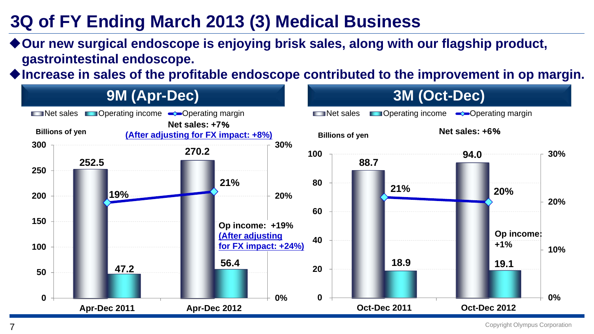#### **3Q of FY Ending March 2013 (3) Medical Business**

◆ Our new surgical endoscope is enjoying brisk sales, along with our flagship product, **gastrointestinal endoscope.**

◆Increase in sales of the profitable endoscope contributed to the improvement in op margin.



Copyright Olympus Corporation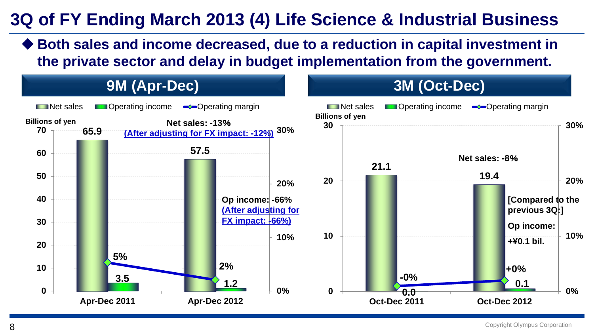#### **3Q of FY Ending March 2013 (4) Life Science & Industrial Business**

 **Both sales and income decreased, due to a reduction in capital investment in the private sector and delay in budget implementation from the government.** 



Copyright Olympus Corporation

8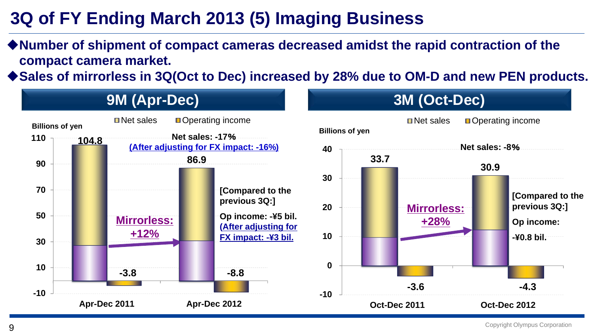### **3Q of FY Ending March 2013 (5) Imaging Business**

◆ Number of shipment of compact cameras decreased amidst the rapid contraction of the **compact camera market.** 

◆ Sales of mirrorless in 3Q(Oct to Dec) increased by 28% due to OM-D and new PEN products.

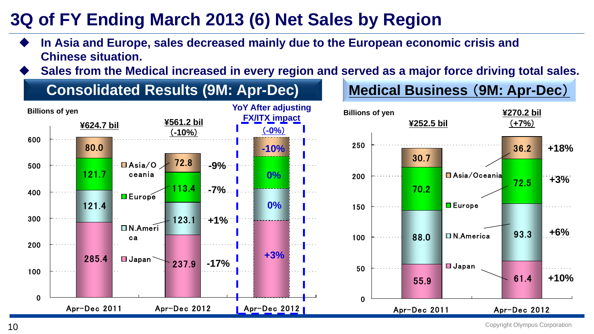#### **3Q of FY Ending March 2013 (6) Net Sales by Region**

- ♦ **In Asia and Europe, sales decreased mainly due to the European economic crisis and Chinese situation.**
- ♦ **Sales from the Medical increased in every region and served as a major force driving total sales.**

#### **Consolidated Results (9M: Apr-Dec) Medical Business** (**9M: Apr-Dec**)



Copyright Olympus Corporation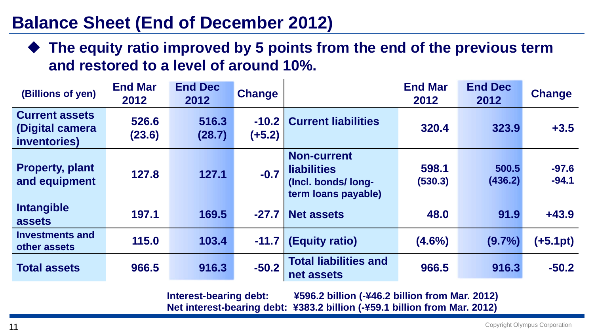#### **Balance Sheet (End of December 2012)**

◆ The equity ratio improved by 5 points from the end of the previous term **and restored to a level of around 10%.**

| (Billions of yen)                                        | <b>End Mar</b><br>2012 | <b>End Dec</b><br>2012 | <b>Change</b>       |                                                                                       | <b>End Mar</b><br>2012 | <b>End Dec</b><br>2012 | <b>Change</b>      |
|----------------------------------------------------------|------------------------|------------------------|---------------------|---------------------------------------------------------------------------------------|------------------------|------------------------|--------------------|
| <b>Current assets</b><br>(Digital camera<br>inventories) | 526.6<br>(23.6)        | 516.3<br>(28.7)        | $-10.2$<br>$(+5.2)$ | <b>Current liabilities</b>                                                            | 320.4                  | 323.9                  | $+3.5$             |
| <b>Property, plant</b><br>and equipment                  | 127.8                  | 127.1                  | $-0.7$              | <b>Non-current</b><br><b>liabilities</b><br>(Incl. bonds/long-<br>term loans payable) | 598.1<br>(530.3)       | 500.5<br>(436.2)       | $-97.6$<br>$-94.1$ |
| Intangible<br>assets                                     | 197.1                  | 169.5                  | $-27.7$             | <b>Net assets</b>                                                                     | 48.0                   | 91.9                   | $+43.9$            |
| <b>Investments and</b><br>other assets                   | 115.0                  | 103.4                  | $-11.7$             | (Equity ratio)                                                                        | $(4.6\%)$              | $(9.7\%)$              | (+5.1pt)           |
| <b>Total assets</b>                                      | 966.5                  | 916.3                  | $-50.2$             | <b>Total liabilities and</b><br>net assets                                            | 966.5                  | 916.3                  | $-50.2$            |

**Interest-bearing debt: ¥596.2 billion (-¥46.2 billion from Mar. 2012) Net interest-bearing debt: ¥383.2 billion (-¥59.1 billion from Mar. 2012)**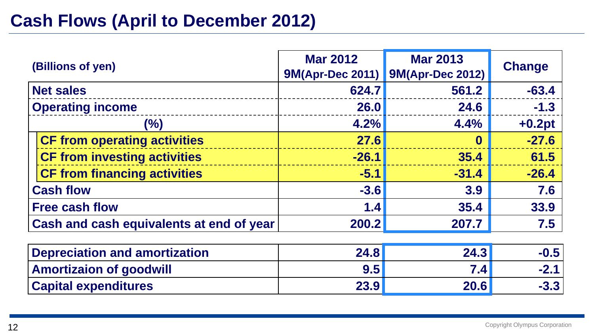#### **Cash Flows (April to December 2012)**

| (Billions of yen)                        | <b>Mar 2012</b><br><b>9M(Apr-Dec 2011)</b> | <b>Mar 2013</b><br><b>9M(Apr-Dec 2012)</b> | <b>Change</b> |
|------------------------------------------|--------------------------------------------|--------------------------------------------|---------------|
| <b>Net sales</b>                         | 624.7                                      | 561.2                                      | $-63.4$       |
| <b>Operating income</b>                  | <b>26.0</b>                                | 24.6                                       | $-1.3$        |
| $(\%)$                                   | 4.2%                                       | 4.4%                                       | $+0.2pt$      |
| <b>CF from operating activities</b>      | 27.6                                       | O                                          | $-27.6$       |
| <b>CF from investing activities</b>      | $-26.1$                                    | 35.4                                       | 61.5          |
| <b>CF from financing activities</b>      | $-5.1$                                     | $-31.4$                                    | $-26.4$       |
| <b>Cash flow</b>                         | $-3.6$                                     | 3.9                                        | 7.6           |
| <b>Free cash flow</b>                    | 1.4                                        | 35.4                                       | 33.9          |
| Cash and cash equivalents at end of year | 200.2                                      | 207.7                                      | 7.5           |
| <b>Depreciation and amortization</b>     | 24.8                                       | 24.3                                       | $-0.5$        |

| Depreciation and amortization  | <b>24.81</b> | 24.31            | $-0.5$ |
|--------------------------------|--------------|------------------|--------|
| <b>Amortizaion of goodwill</b> | 9.5          | 7.4 <sub>1</sub> | $-2.1$ |
| <b>Capital expenditures</b>    | 23.9         | 20.6             | $-3.3$ |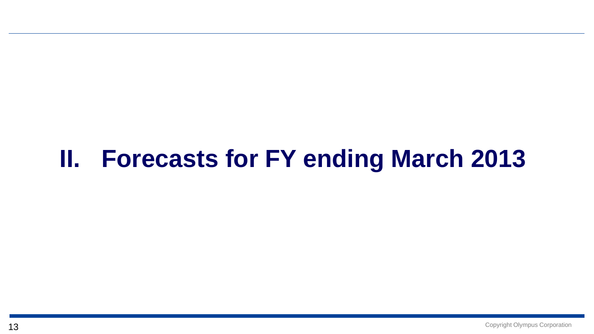### **II. Forecasts for FY ending March 2013**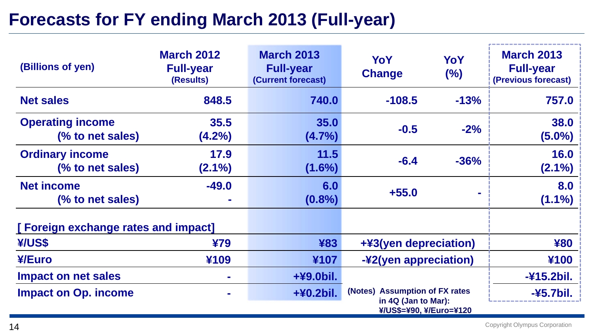#### **Forecasts for FY ending March 2013 (Full-year)**

| (Billions of yen)                           | <b>March 2012</b><br><b>Full-year</b><br>(Results) | <b>March 2013</b><br><b>Full-year</b><br>(Current forecast) | YoY<br><b>Change</b>                                                             | YoY<br>(%) | <b>March 2013</b><br><b>Full-year</b><br>(Previous forecast) |
|---------------------------------------------|----------------------------------------------------|-------------------------------------------------------------|----------------------------------------------------------------------------------|------------|--------------------------------------------------------------|
| <b>Net sales</b>                            | 848.5                                              | 740.0                                                       | $-108.5$                                                                         | $-13%$     | 757.0                                                        |
| <b>Operating income</b><br>(% to net sales) | 35.5<br>$(4.2\%)$                                  | 35.0<br>$(4.7\%)$                                           | $-0.5$                                                                           | $-2%$      | 38.0<br>$(5.0\%)$                                            |
| <b>Ordinary income</b><br>(% to net sales)  | 17.9<br>$(2.1\%)$                                  | 11.5<br>$(1.6\%)$                                           | $-6.4$                                                                           | $-36%$     | <b>16.0</b><br>$(2.1\%)$                                     |
| <b>Net income</b><br>(% to net sales)       | $-49.0$                                            | 6.0<br>$(0.8\%)$                                            | $+55.0$                                                                          |            | 8.0<br>$(1.1\%)$                                             |
| [Foreign exchange rates and impact]         |                                                    |                                                             |                                                                                  |            |                                                              |
| ¥/US\$                                      | ¥79                                                | ¥83                                                         | +¥3(yen depreciation)                                                            |            | ¥80                                                          |
| ¥/Euro                                      | ¥109                                               | ¥107                                                        | -¥2(yen appreciation)                                                            |            | ¥100                                                         |
| <b>Impact on net sales</b>                  |                                                    | +¥9.0bil.                                                   |                                                                                  |            | -¥15.2bil.                                                   |
| <b>Impact on Op. income</b>                 |                                                    | +¥0.2bil.                                                   | (Notes) Assumption of FX rates<br>in 4Q (Jan to Mar):<br>¥/US\$=¥90, ¥/Euro=¥120 |            | $-45.7$ bil.                                                 |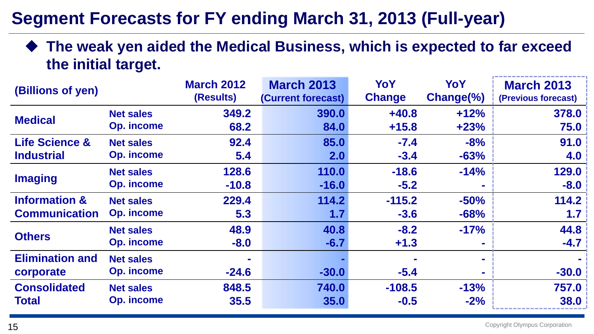#### **Segment Forecasts for FY ending March 31, 2013 (Full-year)**

 **The weak yen aided the Medical Business, which is expected to far exceed the initial target.**

| (Billions of yen)         |                   | <b>March 2012</b><br>(Results) | <b>March 2013</b><br>(Current forecast) | YoY<br><b>Change</b> | YoY<br>$Change(\%)$ | <b>March 2013</b><br>(Previous forecast) |
|---------------------------|-------------------|--------------------------------|-----------------------------------------|----------------------|---------------------|------------------------------------------|
| <b>Medical</b>            | <b>Net sales</b>  | 349.2                          | 390.0                                   | $+40.8$              | $+12%$              | 378.0                                    |
|                           | <b>Op. income</b> | 68.2                           | 84.0                                    | $+15.8$              | $+23%$              | 75.0                                     |
| <b>Life Science &amp;</b> | <b>Net sales</b>  | 92.4                           | 85.0                                    | $-7.4$               | $-8%$               | 91.0                                     |
| <b>Industrial</b>         | <b>Op. income</b> | 5.4                            | 2.0                                     | $-3.4$               | $-63%$              | 4.0                                      |
|                           | <b>Net sales</b>  | 128.6                          | 110.0                                   | $-18.6$              | $-14%$              | 129.0                                    |
| <b>Imaging</b>            | <b>Op. income</b> | $-10.8$                        | $-16.0$                                 | $-5.2$               | $\sim$              | $-8.0$                                   |
| <b>Information &amp;</b>  | <b>Net sales</b>  | 229.4                          | 114.2                                   | $-115.2$             | $-50%$              | 114.2                                    |
| <b>Communication</b>      | <b>Op. income</b> | 5.3                            | 1.7                                     | $-3.6$               | $-68%$              | 1.7                                      |
| <b>Others</b>             | <b>Net sales</b>  | 48.9                           | 40.8                                    | $-8.2$               | $-17%$              | 44.8                                     |
|                           | <b>Op. income</b> | $-8.0$                         | $-6.7$                                  | $+1.3$               | $\mathbf{r}$        | $-4.7$                                   |
| <b>Elimination and</b>    | <b>Net sales</b>  |                                |                                         |                      | $\mathbf{r}$        |                                          |
| corporate                 | <b>Op. income</b> | $-24.6$                        | $-30.0$                                 | $-5.4$               |                     | $-30.0$                                  |
| <b>Consolidated</b>       | <b>Net sales</b>  | 848.5                          | 740.0                                   | $-108.5$             | $-13%$              | 757.0                                    |
| <b>Total</b>              | <b>Op. income</b> | 35.5                           | 35.0                                    | $-0.5$               | $-2%$               | 38.0                                     |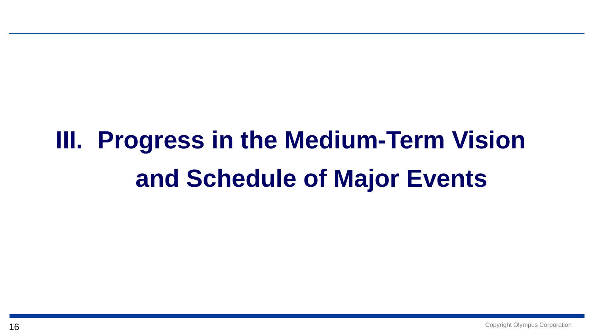# **III. Progress in the Medium-Term Vision and Schedule of Major Events**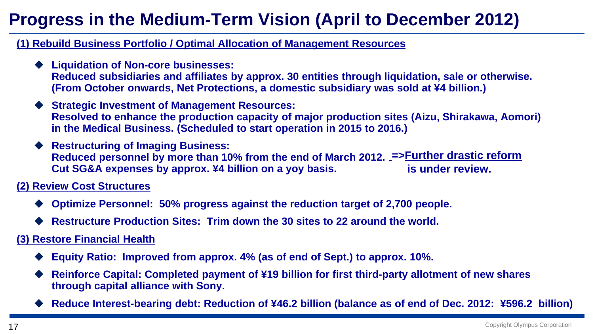#### **Progress in the Medium-Term Vision (April to December 2012)**

**(1) Rebuild Business Portfolio / Optimal Allocation of Management Resources**

- **Liquidation of Non-core businesses: Reduced subsidiaries and affiliates by approx. 30 entities through liquidation, sale or otherwise. (From October onwards, Net Protections, a domestic subsidiary was sold at ¥4 billion.)**
- **Strategic Investment of Management Resources: Resolved to enhance the production capacity of major production sites (Aizu, Shirakawa, Aomori) in the Medical Business. (Scheduled to start operation in 2015 to 2016.)**
- ◆ **Restructuring of Imaging Business: Reduced personnel by more than 10% from the end of March 2012. =>Further drastic reform Cut SG&A expenses by approx. ¥4 billion on a yoy basis. is under review.**

**(2) Review Cost Structures**

- ♦ **Optimize Personnel: 50% progress against the reduction target of 2,700 people.**
- ♦ **Restructure Production Sites: Trim down the 30 sites to 22 around the world.**

**(3) Restore Financial Health**

- ♦ **Equity Ratio: Improved from approx. 4% (as of end of Sept.) to approx. 10%.**
- ♦ **Reinforce Capital: Completed payment of ¥19 billion for first third-party allotment of new shares through capital alliance with Sony.**
- ◆ Reduce Interest-bearing debt: Reduction of ¥46.2 billion (balance as of end of Dec. 2012: ¥596.2 billion)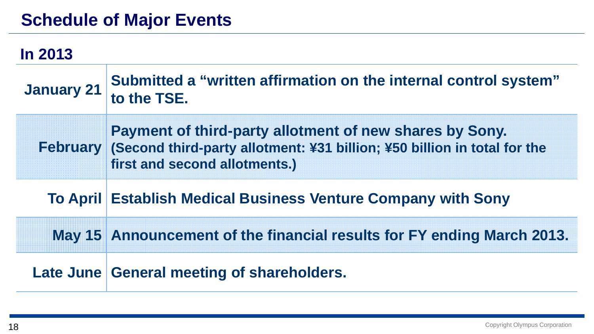#### **Schedule of Major Events**

| <b>In 2013</b>    |                                                                                                                                                                               |
|-------------------|-------------------------------------------------------------------------------------------------------------------------------------------------------------------------------|
| <b>January 21</b> | Submitted a "written affirmation on the internal control system"<br>to the TSE.                                                                                               |
|                   | Payment of third-party allotment of new shares by Sony.<br>February (Second third-party allotment: ¥31 billion; ¥50 billion in total for the<br>first and second allotments.) |
|                   | <b>To April Establish Medical Business Venture Company with Sony</b>                                                                                                          |
|                   | May 15 Announcement of the financial results for FY ending March 2013.                                                                                                        |
|                   | Late June General meeting of shareholders.                                                                                                                                    |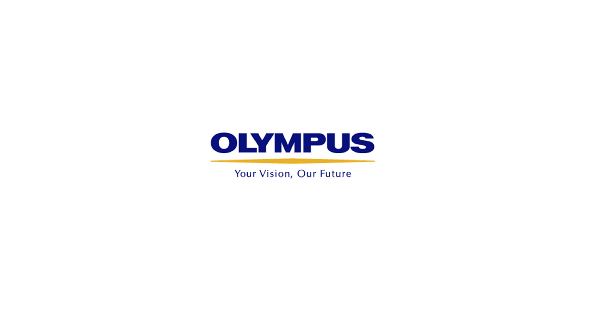

Your Vision, Our Future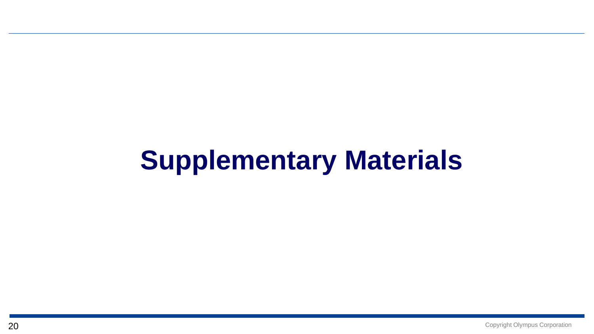## **Supplementary Materials**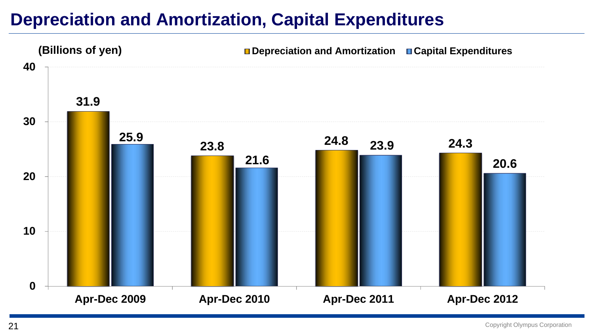#### **Depreciation and Amortization, Capital Expenditures**

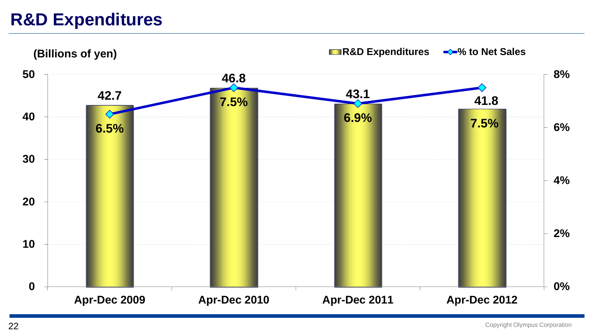#### **R&D Expenditures**

**42.7 46.8 43.1 41.8 6.5% 7.5% 6.9% 7.5% 0% 2%4%6%8% 01020 30 4050Apr-Dec 2009 Apr-Dec 2010 Apr-Dec 2011 Apr-Dec 2012 (Billions of yen) R&D Expenditures** ★ **80 R&D** Expenditures ★ 80 **R&D** Expenditures ★ 80 **R**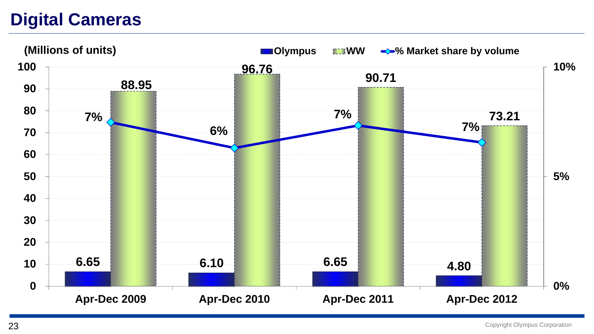#### **Digital Cameras**



Copyright Olympus Corporation